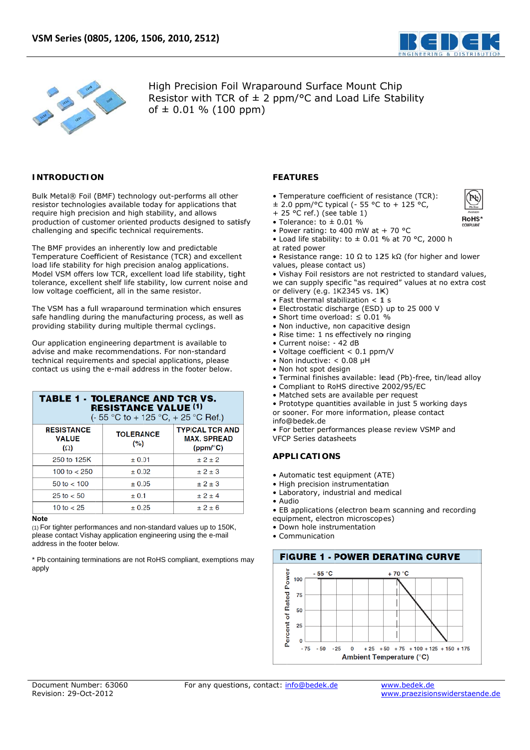



High Precision Foil Wraparound Surface Mount Chip Resistor with TCR of  $\pm$  2 ppm/°C and Load Life Stability of  $\pm$  0.01 % (100 ppm)

### **INTRODUCTION**

Bulk Metal® Foil (BMF) technology out-performs all other resistor technologies available today for applications that require high precision and high stability, and allows production of customer oriented products designed to satisfy challenging and specific technical requirements.

The BMF provides an inherently low and predictable Temperature Coefficient of Resistance (TCR) and excellent load life stability for high precision analog applications. Model VSM offers low TCR, excellent load life stability, tight tolerance, excellent shelf life stability, low current noise and low voltage coefficient, all in the same resistor.

The VSM has a full wraparound termination which ensures safe handling during the manufacturing process, as well as providing stability during multiple thermal cyclings.

Our application engineering department is available to advise and make recommendations. For non-standard technical requirements and special applications, please contact us using the e-mail address in the footer below.

| <b>TABLE 1 - TOLERANCE AND TCR VS.</b><br><b>RESISTANCE VALUE (1)</b><br>(- 55 °C to + 125 °C, + 25 °C Ref.) |                          |                                                          |  |  |
|--------------------------------------------------------------------------------------------------------------|--------------------------|----------------------------------------------------------|--|--|
| <b>RESISTANCE</b><br><b>VALUE</b><br>$(\Omega)$                                                              | <b>TOLERANCE</b><br>(% ) | <b>TYPICAL TCR AND</b><br><b>MAX. SPREAD</b><br>(ppm/°C) |  |  |
| 250 to 125K                                                                                                  | ± 0.01                   | ± 2 ± 2                                                  |  |  |
| 100 to $<$ 250                                                                                               | $\pm 0.02$               | ± 2±3                                                    |  |  |
| 50 to $<$ 100                                                                                                | ± 0.05                   | ±2±3                                                     |  |  |
| $25 \text{ to } < 50$                                                                                        | ± 0.1                    | $+2+4$                                                   |  |  |
| 10 to $< 25$                                                                                                 | ± 0.25                   | ± 2± 6                                                   |  |  |

### **Note**

(1) For tighter performances and non-standard values up to 150K, please contact Vishay application engineering using the e-mail address in the footer below.

\* Pb containing terminations are not RoHS compliant, exemptions may apply

## **FEATURES**

- Temperature coefficient of resistance (TCR):
- ± 2.0 ppm/°C typical (- 55 °C to + 125 °C,
- + 25  $^{\circ}$ C ref.) (see table 1)
- Tolerance: to  $\pm$  0.01 %
- Power rating: to 400 mW at + 70 °C • Load life stability: to  $\pm$  0.01 % at 70 °C, 2000 h
- at rated power
- Resistance range: 10  $\Omega$  to 125 k $\Omega$  (for higher and lower values, please contact us)
- . Vishay Foil resistors are not restricted to standard values, we can supply specific "as required" values at no extra cost or delivery (e.g. 1K2345 vs. 1K)
- Fast thermal stabilization  $<$  1 s
- · Electrostatic discharge (ESD) up to 25 000 V
- Short time overload:  $\leq 0.01$  %
- · Non inductive, non capacitive design
- · Rise time: 1 ns effectively no ringing
- · Current noise: 42 dB
- Voltage coefficient < 0.1 ppm/V
- Non inductive:  $< 0.08$  µH
- Non hot spot design
- · Terminal finishes available: lead (Pb)-free, tin/lead alloy
- Compliant to RoHS directive 2002/95/EC
- · Matched sets are available per request

• Prototype quantities available in just 5 working days or sooner. For more information, please contact info@bedek.de

• For better performances please review VSMP and **VECP Series datasheets** 

### **APPLICATIONS**

- Automatic test equipment (ATF)
- · High precision instrumentation
- Laboratory, industrial and medical
- $\bullet$  Audio
- EB applications (electron beam scanning and recording
- equipment, electron microscopes)
- · Down hole instrumentation
- $\bullet$  Communication



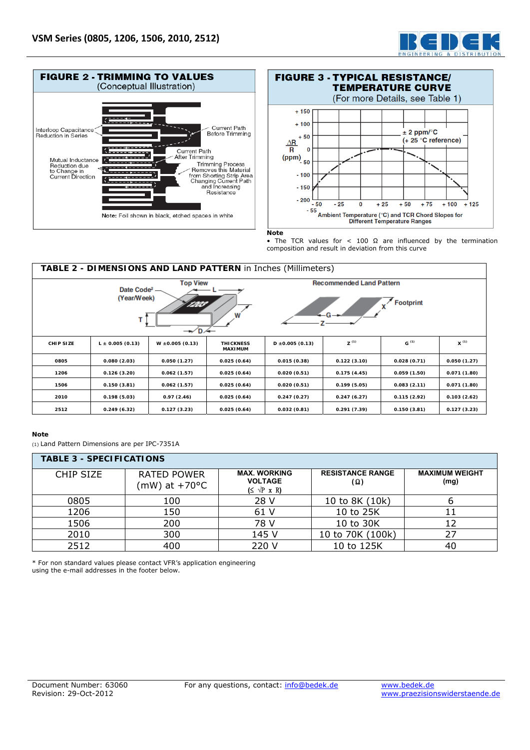





#### **Note**

• The TCR values for < 100  $\Omega$  are influenced by the termination composition and result in deviation from this curve

| TABLE 2 - DIMENSIONS AND LAND PATTERN in Inches (Millimeters)                                                                                                   |                      |                      |                                    |                      |             |             |             |
|-----------------------------------------------------------------------------------------------------------------------------------------------------------------|----------------------|----------------------|------------------------------------|----------------------|-------------|-------------|-------------|
| <b>Top View</b><br><b>Recommended Land Pattern</b><br>Date Code <sup>2</sup> -<br>(Year/Week)<br><b>Footprint</b><br>120P<br>W<br>$\rightarrow$ D $\rightarrow$ |                      |                      |                                    |                      |             |             |             |
| <b>CHIP SIZE</b>                                                                                                                                                | $L \pm 0.005$ (0.13) | $W \pm 0.005$ (0.13) | <b>THICKNESS</b><br><b>MAXIMUM</b> | $D \pm 0.005$ (0.13) | $Z^{(1)}$   | $G^{(1)}$   | $x^{(1)}$   |
| 0805                                                                                                                                                            | 0.080(2.03)          | 0.050(1.27)          | 0.025(0.64)                        | 0.015(0.38)          | 0.122(3.10) | 0.028(0.71) | 0.050(1.27) |
| 1206                                                                                                                                                            | 0.126(3.20)          | 0.062(1.57)          | 0.025(0.64)                        | 0.020(0.51)          | 0.175(4.45) | 0.059(1.50) | 0.071(1.80) |
| 1506                                                                                                                                                            | 0.150(3.81)          | 0.062(1.57)          | 0.025(0.64)                        | 0.020(0.51)          | 0.199(5.05) | 0.083(2.11) | 0.071(1.80) |
| 2010                                                                                                                                                            | 0.198(5.03)          | 0.97(2.46)           | 0.025(0.64)                        | 0.247(0.27)          | 0.247(6.27) | 0.115(2.92) | 0.103(2.62) |
| 2512                                                                                                                                                            | 0.249(6.32)          | 0.127(3.23)          | 0.025(0.64)                        | 0.032(0.81)          | 0.291(7.39) | 0.150(3.81) | 0.127(3.23) |

### **Note**

(1) Land Pattern Dimensions are per IPC-7351A

| <b>TABLE 3 - SPECIFICATIONS</b> |                                     |                                                                     |                                |                               |  |
|---------------------------------|-------------------------------------|---------------------------------------------------------------------|--------------------------------|-------------------------------|--|
| <b>CHIP SIZE</b>                | <b>RATED POWER</b><br>(mW) at +70°C | <b>MAX. WORKING</b><br><b>VOLTAGE</b><br>$(\leq \sqrt{P} \times R)$ | <b>RESISTANCE RANGE</b><br>(Ω) | <b>MAXIMUM WEIGHT</b><br>(mg) |  |
| 0805                            | 100                                 | 28 V                                                                | 10 to 8K (10k)                 |                               |  |
| 1206                            | 150                                 | 61 V                                                                | 10 to 25K                      |                               |  |
| 1506                            | 200                                 | 78 V                                                                | 10 to 30K                      | 12                            |  |
| 2010                            | 300                                 | 145 V                                                               | 10 to 70K (100k)               | 27                            |  |
| 2512                            | 400                                 | 220 V                                                               | 10 to 125K                     | 40                            |  |

\* For non standard values please contact VFR's application engineering using the e-mail addresses in the footer below.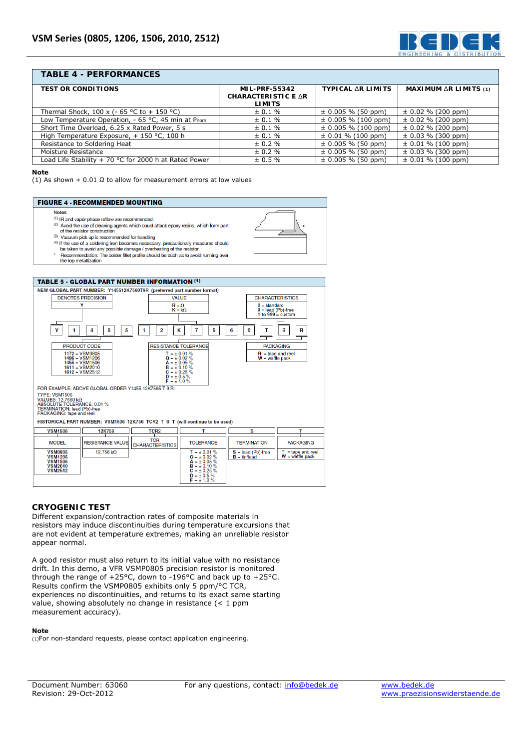

# **TABLE 4 - PERFORMANCES**

| <b>TEST OR CONDITIONS</b>                              | <b>MIL-PRF-55342</b> | <b>TYPICAL AR LIMITS</b> | <b>MAXIMUM AR LIMITS (1)</b> |
|--------------------------------------------------------|----------------------|--------------------------|------------------------------|
|                                                        | CHARACTERISTIC E AR  |                          |                              |
|                                                        | <b>LIMITS</b>        |                          |                              |
| Thermal Shock, 100 x (- 65 °C to + 150 °C)             | $\pm 0.1 \%$         | $\pm$ 0.005 % (50 ppm)   | $\pm$ 0.02 % (200 ppm)       |
| Low Temperature Operation, - 65 °C, 45 min at Pnom     | $\pm 0.1 \%$         | $\pm$ 0.005 % (100 ppm)  | $\pm$ 0.02 % (200 ppm)       |
| Short Time Overload, 6.25 x Rated Power, 5 s           | $\pm 0.1 \%$         | $\pm$ 0.005 % (100 ppm)  | $\pm$ 0.02 % (200 ppm)       |
| High Temperature Exposure, + 150 °C, 100 h             | $\pm 0.1 \%$         | $\pm$ 0.01 % (100 ppm)   | $\pm$ 0.03 % (300 ppm)       |
| Resistance to Soldering Heat                           | $\pm 0.2 \%$         | $\pm$ 0.005 % (50 ppm)   | $\pm$ 0.01 % (100 ppm)       |
| Moisture Resistance                                    | $\pm 0.2 \%$         | $\pm$ 0.005 % (50 ppm)   | $\pm$ 0.03 % (300 ppm)       |
| Load Life Stability $+70$ °C for 2000 h at Rated Power | $\pm 0.5 \%$         | $\pm$ 0.005 % (50 ppm)   | $\pm$ 0.01 % (100 ppm)       |

#### **Note**

(1) As shown + 0.01  $\Omega$  to allow for measurement errors at low values

#### **FIGURE 4 - RECOMMENDED MOUNTING**

#### **Notes**

- (1) IR and vapor phase reflow are recommended.
- (2) Avoid the use of deaning agents which could attack epoxy resins, which form part<br>(2) Avoid the use of deaning agents which could attack epoxy resins, which form part<br>(2) Avoid the resistor construction
- (3) Vacuum pick up is recommended for handling
- (4) If the use of a soldering iron becomes necessary, precautionary measures should be taken to avoid any possible damage / overheating of the resisto
- Recommendation: The solder fillet profile should be such as to avoid running over the top metallization



## **CRYOGENIC TEST**

Different expansion/contraction rates of composite materials in resistors may induce discontinuities during temperature excursions that are not evident at temperature extremes, making an unreliable resistor appear normal.

A good resistor must also return to its initial value with no resistance drift. In this demo, a VFR VSMP0805 precision resistor is monitored through the range of +25°C, down to -196°C and back up to +25°C. Results confirm the VSMP0805 exhibits only 5 ppm/°C TCR, experiences no discontinuities, and returns to its exact same starting value, showing absolutely no change in resistance (< 1 ppm measurement accuracy).

### **Note**

(1)For non-standard requests, please contact application engineering.